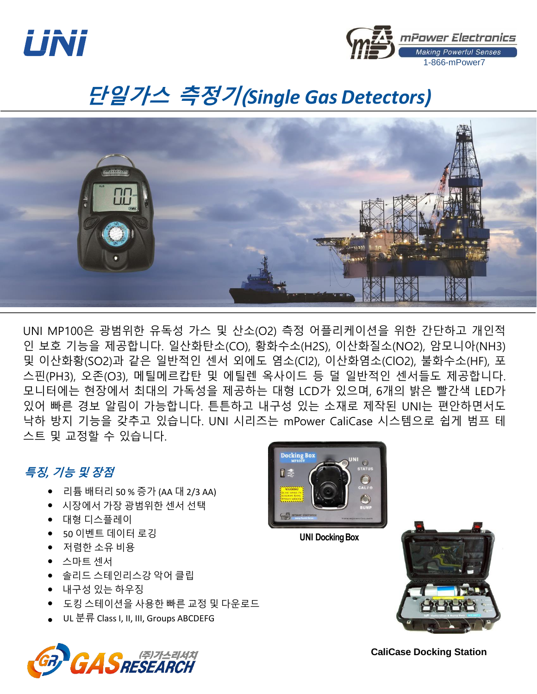



# 단일가스 측정기(*Single Gas Detectors)*



UNI MP100은 광범위한 유독성 가스 및 산소(O2) 측정 어플리케이션을 위한 간단하고 개인적 인 보호 기능을 제공합니다. 일산화탄소(CO), 황화수소(H2S), 이산화질소(NO2), 암모니아(NH3) 및 이산화황(SO2)과 같은 일반적인 센서 외에도 염소(Cl2), 이산화염소(ClO2), 불화수소(HF), 포 스핀(PH3), 오존(O3), 메틸메르캅탄 및 에틸렌 옥사이드 등 덜 일반적인 센서들도 제공합니다. 모니터에는 현장에서 최대의 가독성을 제공하는 대형 LCD가 있으며, 6개의 밝은 빨간색 LED가 있어 빠른 경보 알림이 가능합니다. 튼튼하고 내구성 있는 소재로 제작된 UNI는 편안하면서도 낙하 방지 기능을 갖추고 있습니다. UNI 시리즈는 mPower CaliCase 시스템으로 쉽게 범프 테 스트 및 교정할 수 있습니다.

### 특징*,* 기능 및 장점

- 리튬 배터리 50 % 증가 (AA 대 2/3 AA)
- 시장에서 가장 광범위한 센서 선택
- 대형 디스플레이
- 50 이벤트 데이터 로깅
- 저렴한 소유 비용
- 스마트 센서
- 솔리드 스테인리스강 악어 클립
- 내구성 있는 하우징
- 도킹 스테이션을 사용한 빠른 교정 및 다운로드
- UL 분류 Class I, II, III, Groups ABCDEFG





**UNI Docking Box** 



**CaliCase Docking Station**